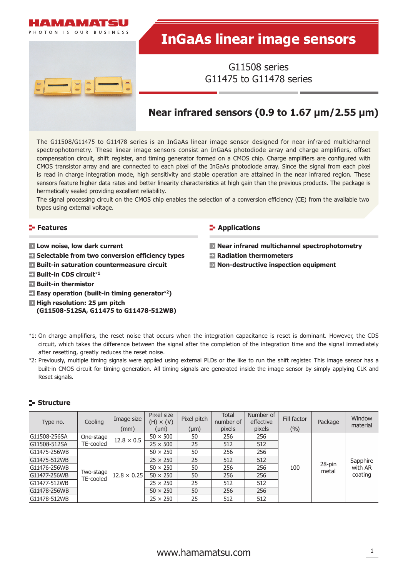

# **InGaAs linear image sensors**

G11508 series G11475 to G11478 series

## **Near infrared sensors (0.9 to 1.67 μm/2.55 μm)**

The G11508/G11475 to G11478 series is an InGaAs linear image sensor designed for near infrared multichannel spectrophotometry. These linear image sensors consist an InGaAs photodiode array and charge amplifiers, offset compensation circuit, shift register, and timing generator formed on a CMOS chip. Charge amplifiers are configured with CMOS transistor array and are connected to each pixel of the InGaAs photodiode array. Since the signal from each pixel is read in charge integration mode, high sensitivity and stable operation are attained in the near infrared region. These sensors feature higher data rates and better linearity characteristics at high gain than the previous products. The package is hermetically sealed providing excellent reliability.

The signal processing circuit on the CMOS chip enables the selection of a conversion efficiency (CE) from the available two types using external voltage.

## **Features**

- **Low noise, low dark current**
- **EX** Selectable from two conversion efficiency types
- **Built-in saturation countermeasure circuit**
- **Built-in CDS circuit**\***<sup>1</sup>**
- **Built-in thermistor**
- **Easy operation (built-in timing generator**\***2)**
- **High resolution: 25 μm pitch** 
	- **(G11508-512SA, G11475 to G11478-512WB)**

#### **E-** Applications

- **Near infrared multichannel spectrophotometry**
- **Radiation thermometers**
- **Non-destructive inspection equipment**

- \*1: On charge amplifiers, the reset noise that occurs when the integration capacitance is reset is dominant. However, the CDS circuit, which takes the difference between the signal after the completion of the integration time and the signal immediately after resetting, greatly reduces the reset noise.
- \*2: Previously, multiple timing signals were applied using external PLDs or the like to run the shift register. This image sensor has a built-in CMOS circuit for timing generation. All timing signals are generated inside the image sensor by simply applying CLK and Reset signals.

## **Structure**

| Type no.     | Cooling                | Image size<br>(mm) | Pixel size<br>$(H) \times (V)$<br>$(\mu m)$ | Pixel pitch<br>$(\mu m)$ | <b>Total</b><br>number of<br>pixels | Number of<br>effective<br>pixels | Fill factor<br>(%) | Package         | Window<br>material |
|--------------|------------------------|--------------------|---------------------------------------------|--------------------------|-------------------------------------|----------------------------------|--------------------|-----------------|--------------------|
| G11508-256SA | One-stage              | $12.8 \times 0.5$  | $50 \times 500$                             | 50                       | 256                                 | 256                              |                    |                 |                    |
| G11508-512SA | TE-cooled              |                    | $25 \times 500$                             | 25                       | 512                                 | 512                              |                    | 28-pin<br>metal |                    |
| G11475-256WB |                        |                    | $50 \times 250$                             | 50                       | 256                                 | 256                              |                    |                 |                    |
| G11475-512WB |                        |                    | $25 \times 250$                             | 25                       | 512                                 | 512                              | 100                |                 | Sapphire           |
| G11476-256WB |                        |                    | $50 \times 250$                             | 50                       | 256                                 | 256                              |                    |                 | with AR            |
| G11477-256WB | Two-stage<br>TE-cooled | $12.8 \times 0.25$ | $50 \times 250$                             | 50                       | 256                                 | 256                              |                    |                 | coating            |
| G11477-512WB |                        |                    | $25 \times 250$                             | 25                       | 512                                 | 512                              |                    |                 |                    |
| G11478-256WB |                        |                    | $50 \times 250$                             | 50                       | 256                                 | 256                              |                    |                 |                    |
| G11478-512WB |                        |                    | $25 \times 250$                             | 25                       | 512                                 | 512                              |                    |                 |                    |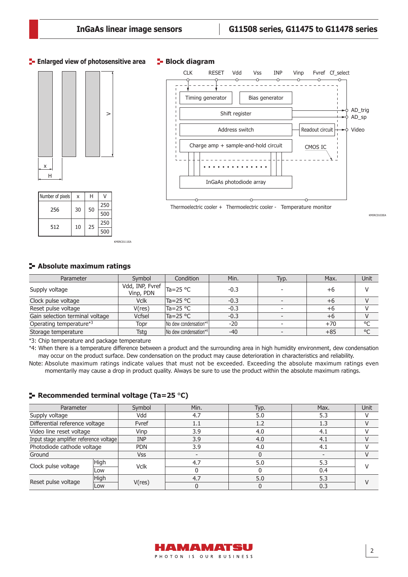#### **Enlarged view of photosensitive area**





#### **Block diagram**



KMIRC0103EA

## **Absolute maximum ratings**

| Parameter                       | Symbol                                                    | Condition             | Min.   | Typ. | Max.  | Unit    |
|---------------------------------|-----------------------------------------------------------|-----------------------|--------|------|-------|---------|
| Supply voltage                  | $\sqrt{dd, INP, F}$ Fvref $\vert_{Ta=25}$ °C<br>Vinp, PDN |                       | $-0.3$ |      | $+6$  |         |
| Clock pulse voltage             | <b>Vclk</b>                                               | $Ta = 25 °C$          | $-0.3$ |      | $+6$  |         |
| Reset pulse voltage             | V(res)                                                    | $Ta = 25 °C$          | $-0.3$ |      | $+6$  |         |
| Gain selection terminal voltage | Vcfsel                                                    | $Ta = 25 °C$          | $-0.3$ |      | $+6$  |         |
| Operating temperature*3         | Topr                                                      | No dew condensation*4 | $-20$  |      | $+70$ | $\circ$ |
| Storage temperature             | Tstg                                                      | No dew condensation*4 | $-40$  |      | $+85$ | °C      |

\*3: Chip temperature and package temperature

\*4: When there is a temperature difference between a product and the surrounding area in high humidity environment, dew condensation may occur on the product surface. Dew condensation on the product may cause deterioration in characteristics and reliability.

Note: Absolute maximum ratings indicate values that must not be exceeded. Exceeding the absolute maximum ratings even momentarily may cause a drop in product quality. Always be sure to use the product within the absolute maximum ratings.

#### **Recommended terminal voltage (Ta=25** °**C)**

KMIRC0111FA

| Parameter                               |            | Symbol      | Min.    | Typ. | Max. | Unit |  |
|-----------------------------------------|------------|-------------|---------|------|------|------|--|
| Supply voltage                          |            | Vdd         | 4.7     | 5.0  | 5.3  |      |  |
| Differential reference voltage          |            | Fvref       | $1.1\,$ | 1.2  | 1.3  |      |  |
| Video line reset voltage                |            | Vinp        | 3.9     | 4.0  | 4.1  |      |  |
| Input stage amplifier reference voltage |            | <b>INP</b>  | 3.9     | 4.0  | 4.1  |      |  |
| Photodiode cathode voltage              |            | <b>PDN</b>  | 3.9     | 4.0  | 4.)  |      |  |
| Ground                                  |            | Vss         |         |      |      |      |  |
| Clock pulse voltage                     | High       | <b>Vclk</b> | 4.7     | 5.0  | 5.3  |      |  |
|                                         | <b>Low</b> |             |         |      | 0.4  |      |  |
| Reset pulse voltage                     | High       |             | 4.7     | 5.0  | 5.3  |      |  |
|                                         | <b>Low</b> | V(res)      |         |      | 0.3  |      |  |

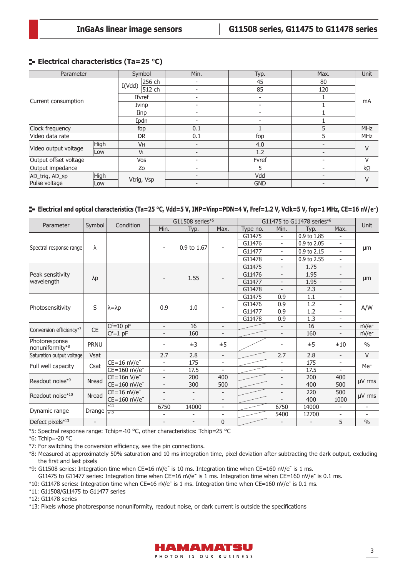## **Electrical characteristics (Ta=25** °**C)**

| <b>Parameter</b>       |      |            | Symbol    | Min. |  |                          | Typ.                     |  | Max.                     | <b>Unit</b> |  |
|------------------------|------|------------|-----------|------|--|--------------------------|--------------------------|--|--------------------------|-------------|--|
|                        |      | I(Vdd)     | 256 ch    |      |  |                          | 45                       |  | 80                       |             |  |
|                        |      |            | 512 ch    |      |  |                          | 85                       |  | 120                      |             |  |
|                        |      |            | Ifvref    |      |  |                          | $\overline{\phantom{0}}$ |  |                          | mA          |  |
| Current consumption    |      |            | Ivinp     |      |  | $\overline{\phantom{0}}$ |                          |  |                          |             |  |
|                        |      |            | Iinp      |      |  |                          |                          |  |                          |             |  |
|                        |      |            | Ipdn      |      |  |                          | ۰                        |  |                          |             |  |
| Clock frequency        |      | fop        |           | 0.1  |  |                          |                          |  |                          | <b>MHz</b>  |  |
| Video data rate        |      | <b>DR</b>  |           | 0.1  |  |                          | fop                      |  | 5                        | <b>MHz</b>  |  |
|                        | High |            | <b>VH</b> |      |  |                          | 4.0                      |  |                          | V           |  |
| Video output voltage   | Low  |            | VL        |      |  |                          | 1.2                      |  | $\overline{\phantom{0}}$ |             |  |
| Output offset voltage  |      |            | Vos       |      |  |                          | Fvref                    |  |                          | V           |  |
| Output impedance       |      |            | Zo        |      |  |                          | 5                        |  |                          | kΩ          |  |
| High<br>AD_trig, AD_sp |      |            |           |      |  |                          | Vdd                      |  |                          | V           |  |
| Pulse voltage          | Low  | Vtrig, Vsp |           |      |  |                          | <b>GND</b>               |  |                          |             |  |

## **Electrical and optical characteristics (Ta=25 °C, Vdd=5 V, INP=Vinp=PDN=4 V, Fref=1.2 V, Vclk=5 V, fop=1 MHz, CE=16 nV/e-)**

| Parameter                        | Symbol                   | Condition                 | G11508 series*5          |                          |                          |          |                          | G11475 to G11478 series*6 | <b>Unit</b>              |                              |
|----------------------------------|--------------------------|---------------------------|--------------------------|--------------------------|--------------------------|----------|--------------------------|---------------------------|--------------------------|------------------------------|
|                                  |                          |                           | Min.                     | Typ.                     | Max.                     | Type no. | Min.                     | Typ.                      | Max.                     |                              |
|                                  |                          |                           |                          |                          |                          | G11475   | $\overline{\phantom{0}}$ | 0.9 to 1.85               | ÷                        |                              |
|                                  | λ                        |                           |                          |                          | $\overline{\phantom{a}}$ | G11476   | $\overline{\phantom{0}}$ | 0.9 to 2.05               | ۰                        |                              |
| Spectral response range          |                          |                           |                          | 0.9 to 1.67              |                          | G11477   | $\overline{\phantom{0}}$ | 0.9 to 2.15               |                          | μm                           |
|                                  |                          |                           |                          |                          |                          | G11478   | $\overline{\phantom{0}}$ | 0.9 to 2.55               | $\overline{\phantom{a}}$ |                              |
|                                  |                          |                           |                          |                          |                          | G11475   | $\overline{\phantom{a}}$ | 1.75                      | $\overline{\phantom{a}}$ |                              |
| Peak sensitivity                 |                          |                           |                          | 1.55                     |                          | G11476   | -                        | 1.95                      | $\overline{\phantom{a}}$ |                              |
| wavelength                       | $\lambda p$              |                           |                          |                          |                          | G11477   | $\overline{\phantom{0}}$ | 1.95                      | $\overline{\phantom{a}}$ | μm                           |
|                                  |                          |                           |                          |                          |                          | G11478   | $\overline{\phantom{a}}$ | 2.3                       | $\overline{\phantom{a}}$ |                              |
|                                  |                          |                           |                          |                          |                          | G11475   | 0.9                      | 1.1                       | $\overline{\phantom{a}}$ |                              |
| Photosensitivity                 | S                        | $\lambda = \lambda p$     | 0.9                      | 1.0                      |                          | G11476   | 0.9                      | 1.2                       | $\overline{\phantom{a}}$ | A/W                          |
|                                  |                          |                           |                          |                          |                          | G11477   | 0.9                      | 1.2                       |                          |                              |
|                                  |                          |                           |                          |                          |                          | G11478   | 0.9                      | 1.3                       | $\overline{\phantom{a}}$ |                              |
| Conversion efficiency*7          | <b>CE</b>                | $Cf=10$ pF                | $\overline{\phantom{a}}$ | 16                       | $\overline{\phantom{a}}$ |          | $\overline{\phantom{a}}$ | 16                        | $\overline{\phantom{a}}$ | $nV/e^-$                     |
|                                  |                          | $Cf=1$ pF                 |                          | 160                      |                          |          | $\overline{\phantom{0}}$ | 160                       |                          | nV/e <sup>-</sup>            |
| Photoresponse<br>nonuniformity*8 | PRNU                     |                           |                          | $\pm 3$                  | ±5                       |          |                          | ±5                        | ±10                      | $\frac{0}{0}$                |
| Saturation output voltage        | Vsat                     |                           | 2.7                      | 2.8                      | $\blacksquare$           |          | 2.7                      | 2.8                       | $\overline{\phantom{a}}$ | $\vee$                       |
| Full well capacity               | Csat                     | $CE=16$ nV/e <sup>-</sup> | $\overline{\phantom{a}}$ | 175                      | $\overline{\phantom{a}}$ |          | $\overline{\phantom{a}}$ | 175                       | $\overline{\phantom{a}}$ | Me <sup>-</sup>              |
|                                  |                          | CE=160 nV/e <sup>-</sup>  | $\overline{\phantom{0}}$ | 17.5                     |                          |          | $\overline{\phantom{0}}$ | 17.5                      |                          |                              |
| Readout noise*9                  | Nread                    | $CE=16n V/e^-$            | $\overline{\phantom{a}}$ | 200                      | 400                      |          | $\overline{\phantom{0}}$ | 200                       | 400                      | µV rms                       |
|                                  |                          | CE=160 nV/e <sup>-</sup>  | $\overline{\phantom{a}}$ | 300                      | 500                      |          | $\overline{\phantom{0}}$ | 400                       | 500                      |                              |
| Readout noise*10                 | Nread                    | $CE=16$ nV/e <sup>-</sup> | $\overline{\phantom{a}}$ | $\overline{\phantom{a}}$ | $\overline{\phantom{a}}$ |          |                          | 220                       | 500                      | $\mu$ V rms                  |
|                                  |                          | CE=160 nV/e <sup>-</sup>  | $\overline{\phantom{a}}$ | $\overline{\phantom{a}}$ | $\overline{\phantom{a}}$ |          | $\overline{\phantom{0}}$ | 400                       | 1000                     |                              |
| Dynamic range                    | Drange                   | $*11$                     | 6750                     | 14000                    | $\overline{\phantom{0}}$ |          | 6750                     | 14000                     |                          | $\qquad \qquad \blacksquare$ |
|                                  |                          | $\overline{12}$           | $\overline{\phantom{a}}$ | $\overline{\phantom{a}}$ | $\overline{\phantom{a}}$ |          | 5400                     | 12700                     | $\overline{\phantom{a}}$ | $\overline{\phantom{a}}$     |
| Defect pixels*13                 | $\overline{\phantom{a}}$ |                           |                          | $\overline{\phantom{a}}$ | 0                        |          |                          | $\overline{a}$            | 5                        | $\frac{0}{0}$                |

\*5: Spectral response range: Tchip=-10 °C, other characteristics: Tchip=25 °C

\*6: Tchip=-20 °C

\*7: For switching the conversion efficiency, see the pin connections.

\*8: Measured at approximately 50% saturation and 10 ms integration time, pixel deviation after subtracting the dark output, excluding the first and last pixels

\*9: G11508 series: Integration time when CE=16 nV/e<sup>-</sup> is 10 ms. Integration time when CE=160 nV/e<sup>-</sup> is 1 ms. G11475 to G11477 series: Integration time when CE=16 nV/e<sup>-</sup> is 1 ms. Integration time when CE=160 nV/e<sup>-</sup> is 0.1 ms.

\*10: G11478 series: Integration time when CE=16 nV/e- is 1 ms. Integration time when CE=160 nV/e- is 0.1 ms.

\*11: G11508/G11475 to G11477 series

\*12: G11478 series

\*13: Pixels whose photoresponse nonuniformity, readout noise, or dark current is outside the specifications

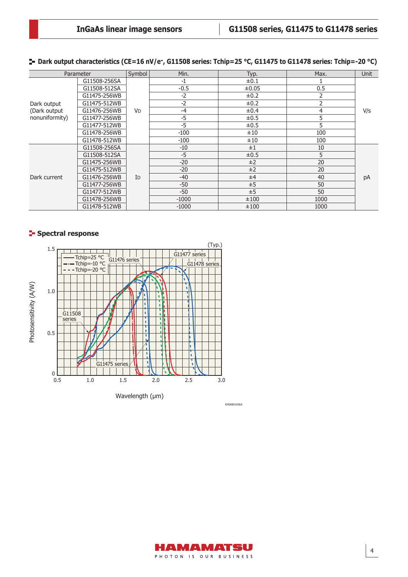**Dark output characteristics (CE=16 nV/e-, G11508 series: Tchip=25 °C, G11475 to G11478 series: Tchip=-20 °C)**

|                | Parameter    | Symbol               | Min.    | Typ.       | Max.           | <b>Unit</b> |  |
|----------------|--------------|----------------------|---------|------------|----------------|-------------|--|
|                | G11508-256SA |                      | $-1$    | $\pm 0.1$  |                |             |  |
|                | G11508-512SA |                      | $-0.5$  | $\pm 0.05$ | 0.5            |             |  |
|                | G11475-256WB |                      | $-2$    | $\pm 0.2$  | 2              |             |  |
| Dark output    | G11475-512WB |                      | $-2$    | $\pm 0.2$  | $\overline{2}$ |             |  |
| (Dark output   | G11476-256WB | <b>V<sub>D</sub></b> | $-4$    | $\pm 0.4$  | $\overline{4}$ | V/S         |  |
| nonuniformity) | G11477-256WB |                      | $-5$    | $\pm 0.5$  | 5              |             |  |
|                | G11477-512WB |                      | $-5$    | ±0.5       | 5              |             |  |
|                | G11478-256WB |                      | $-100$  | ±10        | 100            |             |  |
|                | G11478-512WB |                      | $-100$  | ±10        | 100            |             |  |
|                | G11508-256SA |                      | $-10$   | ±1         | 10             |             |  |
|                | G11508-512SA |                      | $-5$    | ±0.5       | 5              |             |  |
|                | G11475-256WB |                      | $-20$   | ±2         | 20             |             |  |
|                | G11475-512WB |                      | $-20$   | ±2         | 20             |             |  |
| Dark current   | G11476-256WB | ID                   | $-40$   | ±4         | 40             | pA          |  |
|                | G11477-256WB |                      | $-50$   | ±5         | 50             |             |  |
|                | G11477-512WB |                      | $-50$   | ±5         | 50             |             |  |
|                | G11478-256WB |                      | $-1000$ | ±100       | 1000           |             |  |
|                | G11478-512WB |                      | $-1000$ | ±100       | 1000           |             |  |

## **Spectral response**



HAMAMATSU PHOTON IS OUR BUSINESS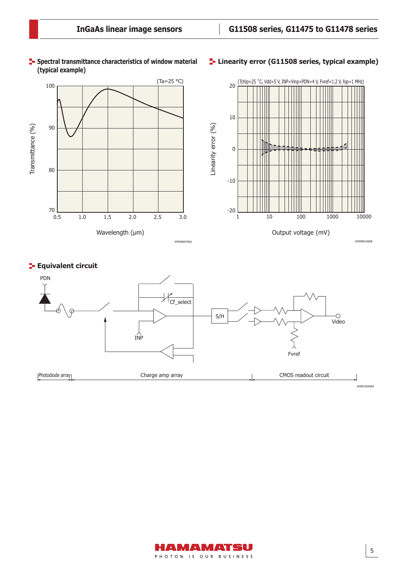

#### **F** Spectral transmittance characteristics of window material **(typical example)**

## **Linearity error (G11508 series, typical example)**



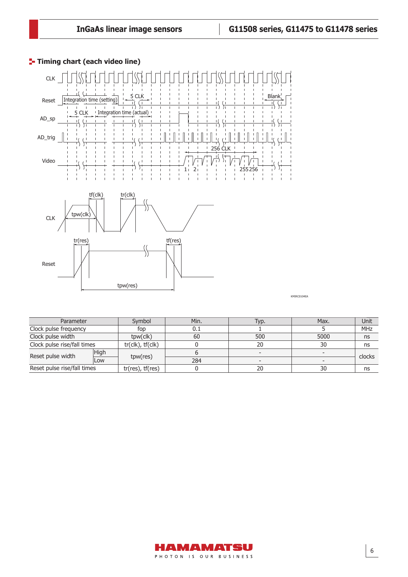

**T**- Timing chart (each video line)

KMIRC0104EA

| Parameter                   |      | Symbol                | Min. | Typ. | Max. | Unit       |  |
|-----------------------------|------|-----------------------|------|------|------|------------|--|
| Clock pulse frequency       |      | fop                   |      |      |      | <b>MHz</b> |  |
| Clock pulse width           |      | tpw(clk)              | 60   | 500  | 5000 | ns         |  |
| Clock pulse rise/fall times |      | tr(clk), tf(clk)      |      | 20   | 30   | ns         |  |
| Reset pulse width           | High |                       |      |      |      |            |  |
|                             | Low  | tpw(res)              | 284  |      |      | clocks     |  |
| Reset pulse rise/fall times |      | $tr(res)$ , $tf(res)$ |      | 20   | 30   | ns         |  |

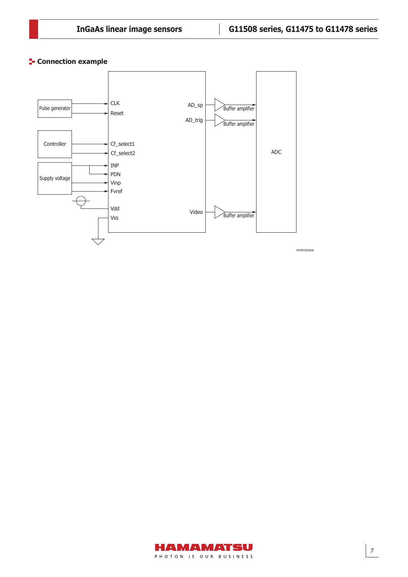## **Connection example**



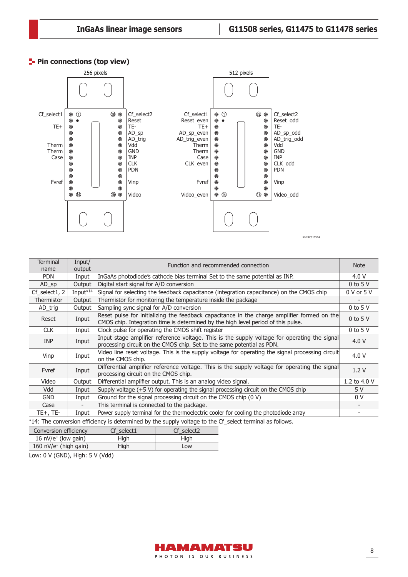## **Pin connections (top view)**



| <b>Terminal</b><br>name | Input/<br>output                                                                                        | Function and recommended connection                                                                                                                                              |              |  |  |  |  |  |
|-------------------------|---------------------------------------------------------------------------------------------------------|----------------------------------------------------------------------------------------------------------------------------------------------------------------------------------|--------------|--|--|--|--|--|
| <b>PDN</b>              | Input                                                                                                   | InGaAs photodiode's cathode bias terminal Set to the same potential as INP.                                                                                                      | 4.0 V        |  |  |  |  |  |
| $AD_sp$                 | Output                                                                                                  | Digital start signal for A/D conversion                                                                                                                                          | $0$ to 5 V   |  |  |  |  |  |
| $Cf$ _select1, 2        | Input <sup>*14</sup>                                                                                    | Signal for selecting the feedback capacitance (integration capacitance) on the CMOS chip                                                                                         | 0 V or 5 V   |  |  |  |  |  |
| Thermistor              | Output                                                                                                  | Thermistor for monitoring the temperature inside the package                                                                                                                     |              |  |  |  |  |  |
| AD_trig                 | Output                                                                                                  | Sampling sync signal for A/D conversion                                                                                                                                          | $0$ to 5 V   |  |  |  |  |  |
| Reset                   | Input                                                                                                   | Reset pulse for initializing the feedback capacitance in the charge amplifier formed on the<br>CMOS chip. Integration time is determined by the high level period of this pulse. | $0$ to 5 V   |  |  |  |  |  |
| <b>CLK</b>              | Input                                                                                                   | Clock pulse for operating the CMOS shift register                                                                                                                                | $0$ to 5 V   |  |  |  |  |  |
| <b>INP</b>              | Input                                                                                                   | Input stage amplifier reference voltage. This is the supply voltage for operating the signal<br>processing circuit on the CMOS chip. Set to the same potential as PDN.           | 4.0V         |  |  |  |  |  |
| Vinp                    | Input                                                                                                   | Video line reset voltage. This is the supply voltage for operating the signal processing circuit<br>on the CMOS chip.                                                            | 4.0V         |  |  |  |  |  |
| Fvref                   | Input                                                                                                   | Differential amplifier reference voltage. This is the supply voltage for operating the signal<br>processing circuit on the CMOS chip.                                            | 1.2V         |  |  |  |  |  |
| Video                   | Output                                                                                                  | Differential amplifier output. This is an analog video signal.                                                                                                                   | 1.2 to 4.0 V |  |  |  |  |  |
| Vdd                     | Input                                                                                                   | Supply voltage $(+5 V)$ for operating the signal processing circuit on the CMOS chip                                                                                             | 5 V          |  |  |  |  |  |
| <b>GND</b>              | Input                                                                                                   | Ground for the signal processing circuit on the CMOS chip (0 V)                                                                                                                  | 0 V          |  |  |  |  |  |
| Case                    |                                                                                                         | This terminal is connected to the package.                                                                                                                                       |              |  |  |  |  |  |
| $TE+$ , $TE-$           | Input                                                                                                   | Power supply terminal for the thermoelectric cooler for cooling the photodiode array                                                                                             |              |  |  |  |  |  |
|                         | *14. The conversion efficiency is determined by the supply veltage to the Cf select terminal as follows |                                                                                                                                                                                  |              |  |  |  |  |  |

\*14: The conversion efficiency is determined by the supply voltage to the Cf\_select terminal as follows.

| Conversion efficiency             | Cf select1 | Cf select2 |
|-----------------------------------|------------|------------|
| 16 $nV/e^-$ (low gain)            | High       | High       |
| 160 nV/e <sup>-</sup> (high gain) | Hiah       | Low        |

Low: 0 V (GND), High: 5 V (Vdd)

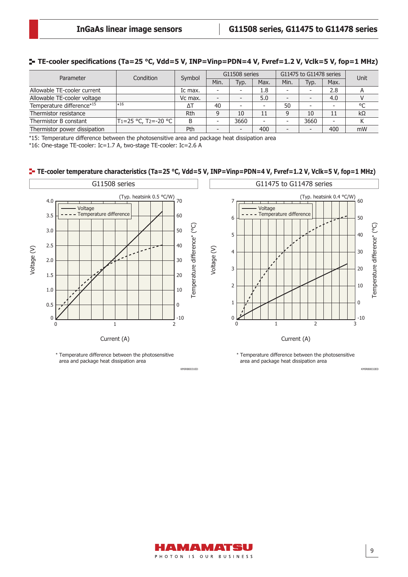## **TE-cooler specifications (Ta=25 °C, Vdd=5 V, INP=Vinp=PDN=4 V, Fvref=1.2 V, Vclk=5 V, fop=1 MHz)**

| Parameter                    | Condition                                     | Symbol  | G11508 series            |      |                          |                          | G11475 to G11478 series | Unit |           |
|------------------------------|-----------------------------------------------|---------|--------------------------|------|--------------------------|--------------------------|-------------------------|------|-----------|
|                              |                                               |         | Min.                     | Typ. | Max.                     | Min.                     | Typ.                    | Max. |           |
| Allowable TE-cooler current  |                                               | Ic max. | -                        |      | 1.8                      | -                        |                         | 2.8  |           |
| Allowable TE-cooler voltage  |                                               | Vc max. | $\overline{\phantom{a}}$ |      | 5.0                      | -                        |                         | 4.0  |           |
| Temperature difference*15    | $*16$                                         | ΔT      | 40                       |      | $\overline{\phantom{0}}$ | 50                       |                         | ۰    | °C        |
| Thermistor resistance        |                                               | Rth     | 9                        | 10   | 11                       | $\Omega$                 | 10                      | 11   | $k\Omega$ |
| Thermistor B constant        | T <sub>1</sub> =25 °C, T <sub>2</sub> =-20 °C | B       | $\overline{\phantom{a}}$ | 3660 | -                        |                          | 3660                    |      |           |
| Thermistor power dissipation |                                               | Pth     | $\overline{\phantom{a}}$ |      | 400                      | $\overline{\phantom{0}}$ |                         | 400  | mW        |

\*15: Temperature difference between the photosensitive area and package heat dissipation area

\*16: One-stage TE-cooler: Ic=1.7 A, two-stage TE-cooler: Ic=2.6 A

#### **TE-cooler temperature characteristics (Ta=25 °C, Vdd=5 V, INP=Vinp=PDN=4 V, Fvref=1.2 V, Vclk=5 V, fop=1 MHz)**



HAMAMATSU PHOTON IS OUR BUSINESS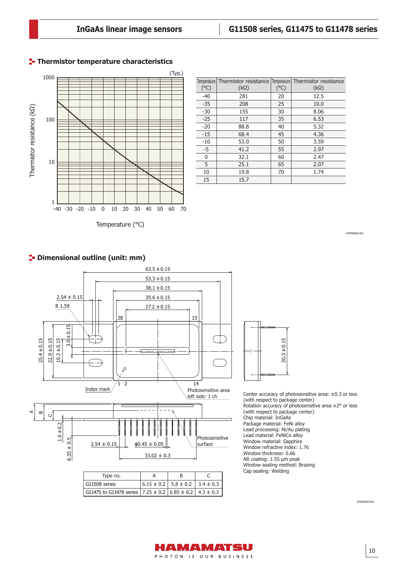## **Thermistor temperature characteristics**



| $(^{\circ}C)$ | Temperature Thermistor resistance Temperature Thermistor resistance<br>$(k\Omega)$ | $(^{\circ}C)$ | $(k\Omega)$ |
|---------------|------------------------------------------------------------------------------------|---------------|-------------|
| $-40$         | 281                                                                                | 20            | 12.5        |
| $-35$         | 208                                                                                | 25            | 10.0        |
| $-30$         | 155                                                                                | 30            | 8.06        |
| $-25$         | 117                                                                                | 35            | 6.53        |
| $-20$         | 88.8                                                                               | 40            | 5.32        |
| $-15$         | 68.4                                                                               | 45            | 4.36        |
| $-10$         | 53.0                                                                               | 50            | 3.59        |
| $-5$          | 41.2                                                                               | 55            | 2.97        |
| 0             | 32.1                                                                               | 60            | 2.47        |
| 5             | 25.1                                                                               | 65            | 2.07        |
| 10            | 19.8                                                                               | 70            | 1.74        |
| 15            | 15.7                                                                               |               |             |

 $\overline{\phantom{a}}$ 

Temperature (°C)

KMIRB0061EA



G11475 to G11478 series

**P**-Dimensional outline (unit: mm)



Center accuracy of photosensitive area: ±0.3 or less (with respect to package center) Rotation accuracy of photosensitive area  $\pm 2^{\circ}$  or less (with respect to package center) Chip material: InGaAs Package material: FeNi alloy Lead processing: Ni/Au plating Lead material: FeNiCo alloy Window material: Sapphire Window refractive index: 1.76 Window thickness: 0.66 AR coating: 1.55 μm peak Window sealing method: Brazing Cap sealing: Welding



 $4.3 \pm 0.3$ 

 $7.25 \pm 0.2$  6.85  $\pm$  0.2

KMIRA0037EA